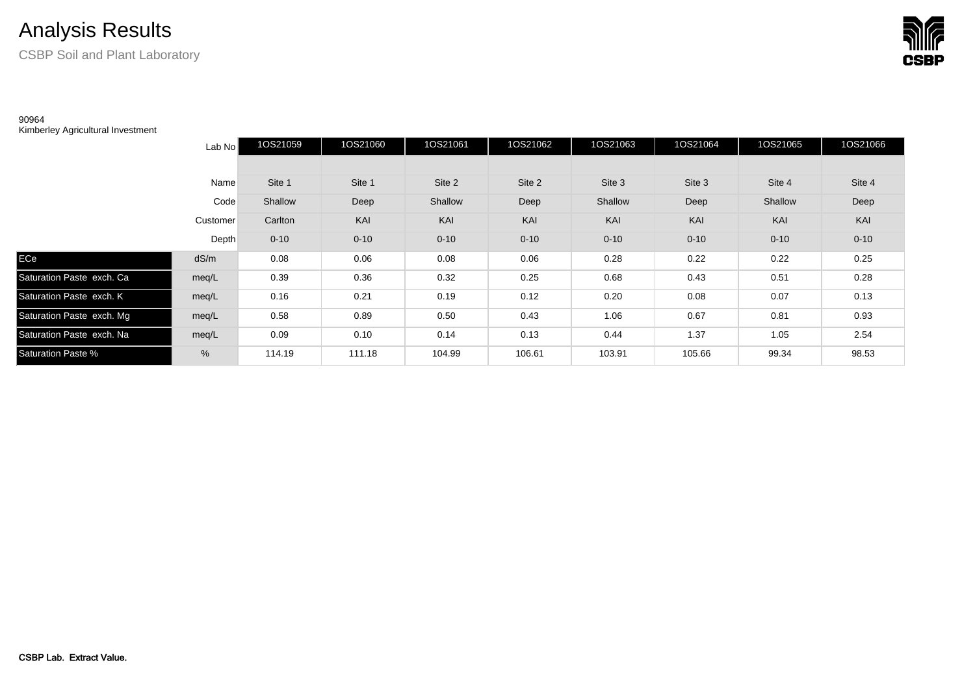## Analysis Results

CSBP Soil and Plant Laboratory

## 90964

Kimberley Agricultural Investment

|                           | Lab No   | 1OS21059 | 1OS21060 | 1OS21061 | 1OS21062 | 1OS21063 | 1OS21064 | 1OS21065 | 1OS21066 |
|---------------------------|----------|----------|----------|----------|----------|----------|----------|----------|----------|
|                           |          |          |          |          |          |          |          |          |          |
|                           | Name     | Site 1   | Site 1   | Site 2   | Site 2   | Site 3   | Site 3   | Site 4   | Site 4   |
|                           | Code     | Shallow  | Deep     | Shallow  | Deep     | Shallow  | Deep     | Shallow  | Deep     |
|                           | Customer | Carlton  | KAI      | KAI      | KAI      | KAI      | KAI      | KAI      | KAI      |
|                           | Depth    | $0 - 10$ | $0 - 10$ | $0 - 10$ | $0 - 10$ | $0 - 10$ | $0 - 10$ | $0 - 10$ | $0 - 10$ |
| ECe                       | dS/m     | 0.08     | 0.06     | 0.08     | 0.06     | 0.28     | 0.22     | 0.22     | 0.25     |
| Saturation Paste exch. Ca | meq/L    | 0.39     | 0.36     | 0.32     | 0.25     | 0.68     | 0.43     | 0.51     | 0.28     |
| Saturation Paste exch. K  | meg/L    | 0.16     | 0.21     | 0.19     | 0.12     | 0.20     | 0.08     | 0.07     | 0.13     |
| Saturation Paste exch. Mg | meg/L    | 0.58     | 0.89     | 0.50     | 0.43     | 1.06     | 0.67     | 0.81     | 0.93     |
| Saturation Paste exch. Na | meg/L    | 0.09     | 0.10     | 0.14     | 0.13     | 0.44     | 1.37     | 1.05     | 2.54     |
| Saturation Paste %        | %        | 114.19   | 111.18   | 104.99   | 106.61   | 103.91   | 105.66   | 99.34    | 98.53    |